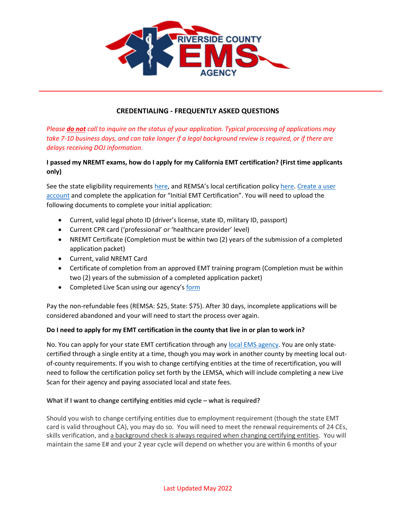

## **CREDENTIALING - FREQUENTLY ASKED QUESTIONS**

*Please do not call to inquire on the status of your application. Typical processing of applications may take 7-10 business days, and can take longer if a legal background review is required, or if there are delays receiving DOJ information.* 

# **I passed my NREMT exams, how do I apply for my California EMT certification? (First time applicants only)**

See the state eligibility requirement[s here,](https://govt.westlaw.com/calregs/Document/I51719F3B38394CAB915437E80D931AEC?viewType=FullText&originationContext=documenttoc&transitionType=CategoryPageItem&contextData=(sc.Default)) and REMSA's local certification policy [here.](http://remsa.us/policy/1202.pdf) Create a user [account](https://ca.emsbridge.com/remsa/public/portal#/login) and complete the application for "Initial EMT Certification". You will need to upload the following documents to complete your initial application:

- Current, valid legal photo ID (driver's license, state ID, military ID, passport)
- Current CPR card ('professional' or 'healthcare provider' level)
- NREMT Certificate (Completion must be within two (2) years of the submission of a completed application packet)
- Current, valid NREMT Card
- Certificate of completion from an approved EMT training program (Completion must be within two (2) years of the submission of a completed application packet)
- Completed Live Scan using our agency's [form](http://www.remsa.us/policy/REMSA-EMT-Request-for-Live-Scan.pdf#View=FitV)

Pay the non-refundable fees (REMSA: \$25, State: \$75). After 30 days, incomplete applications will be considered abandoned and your will need to start the process over again.

#### **Do I need to apply for my EMT certification in the county that live in or plan to work in?**

No. You can apply for your state EMT certification through an[y local EMS agency.](https://emsa.ca.gov/local-ems-agencies/) You are only statecertified through a single entity at a time, though you may work in another county by meeting local outof-county requirements. If you wish to change certifying entities at the time of recertification, you will need to follow the certification policy set forth by the LEMSA, which will include completing a new Live Scan for their agency and paying associated local and state fees.

#### **What if I want to change certifying entities mid cycle – what is required?**

Should you wish to change certifying entities due to employment requirement (though the state EMT card is valid throughout CA), you may do so. You will need to meet the renewal requirements of 24 CEs, skills verification, and a background check is always required when changing certifying entities. You will maintain the same E# and your 2 year cycle will depend on whether you are within 6 months of your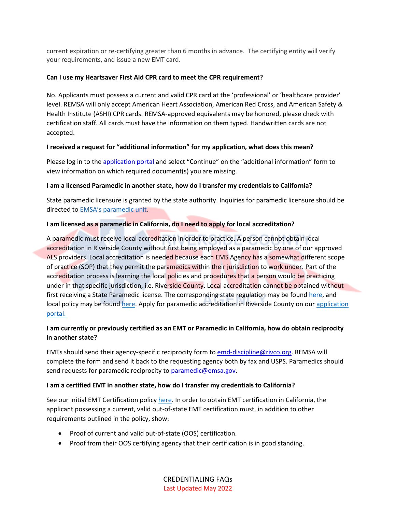current expiration or re-certifying greater than 6 months in advance. The certifying entity will verify your requirements, and issue a new EMT card.

### **Can I use my Heartsaver First Aid CPR card to meet the CPR requirement?**

No. Applicants must possess a current and valid CPR card at the 'professional' or 'healthcare provider' level. REMSA will only accept American Heart Association, American Red Cross, and American Safety & Health Institute (ASHI) CPR cards. REMSA-approved equivalents may be honored, please check with certification staff. All cards must have the information on them typed. Handwritten cards are not accepted.

## **I received a request for "additional information" for my application, what does this mean?**

Please log in to th[e application portal](https://ca.emsbridge.com/remsa/public/portal#/login) and select "Continue" on the "additional information" form to view information on which required document(s) you are missing.

## **I am a licensed Paramedic in another state, how do I transfer my credentials to California?**

State paramedic licensure is granted by the state authority. Inquiries for paramedic licensure should be directed to EMSA['s paramedic unit](https://emsa.ca.gov/paramedic/).

## **I am licensed as a paramedic in California, do I need to apply for local accreditation?**

A paramedic must receive local accreditation in order to practice. A person cannot obtain local accreditation in Riverside County without first being employed as a paramedic by one of our approved ALS providers. Local accreditation is needed because each EMS Agency has a somewhat different scope of practice (SOP) that they permit the paramedics within their jurisdiction to work under. Part of the accreditation process is learning the local policies and procedures that a person would be practicing under in that specific jurisdiction, i.e. Riverside County. Local accreditation cannot be obtained without first receiving a State Paramedic license. The corresponding state regulation may be found [here,](https://govt.westlaw.com/calregs/Document/ICEC9DDC738DB41D6A84B0A5573F7DEE5?viewType=FullText&originationContext=documenttoc&transitionType=CategoryPageItem&contextData=(sc.Default)) and local policy may be found [here.](http://remsa.us/policy/1207.pdf) Apply for paramedic accreditation in Riverside County on our application [portal.](https://ca.emsbridge.com/remsa/public/portal#/login)

# **I am currently or previously certified as an EMT or Paramedic in California, how do obtain reciprocity in another state?**

EMTs should send their agency-specific reciprocity form to [emd-discipline@rivco.org.](mailto:emd-discipline@rivco.org) REMSA will complete the form and send it back to the requesting agency both by fax and USPS. Paramedics should send requests for paramedic reciprocity to [paramedic@emsa.gov.](mailto:paramedic@emsa.gov)

#### **I am a certified EMT in another state, how do I transfer my credentials to California?**

See our Initial EMT Certification policy [here.](http://remsa.us/policy/1202.pdf) In order to obtain EMT certification in California, the applicant possessing a current, valid out-of-state EMT certification must, in addition to other requirements outlined in the policy, show:

- Proof of current and valid out-of-state (OOS) certification.
- Proof from their OOS certifying agency that their certification is in good standing.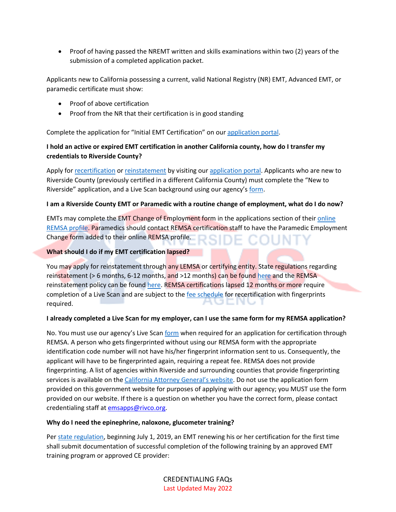• Proof of having passed the NREMT written and skills examinations within two (2) years of the submission of a completed application packet.

Applicants new to California possessing a current, valid National Registry (NR) EMT, Advanced EMT, or paramedic certificate must show:

- Proof of above certification
- Proof from the NR that their certification is in good standing

Complete the application for "Initial EMT Certification" on our [application portal.](https://ca.emsbridge.com/remsa/public/portal#/login)

# **I hold an active or expired EMT certification in another California county, how do I transfer my credentials to Riverside County?**

Apply fo[r recertification](http://remsa.us/policy/1203.pdf) or [reinstatement](http://remsa.us/policy/1204.pdf) by visiting ou[r application portal.](https://ca.emsbridge.com/remsa/public/portal#/login) Applicants who are new to Riverside County (previously certified in a different California County) must complete the "New to Riverside" application, and a Live Scan background using our agency's [form.](http://www.remsa.us/policy/REMSA-EMT-Request-for-Live-Scan.pdf#View=FitV)

#### **I am a Riverside County EMT or Paramedic with a routine change of employment, what do I do now?**

EMTs may complete the EMT Change of Employment form in the applications section of their [online](https://ca.emsbridge.com/remsa/public/portal#/login)  [REMSA profile.](https://ca.emsbridge.com/remsa/public/portal#/login) Paramedics should contact REMSA certification staff to have the Paramedic Employment Change form added to their online REMSA profile.

#### **What should I do if my EMT certification lapsed?**

You may apply for reinstatement through any LEMSA or certifying entity. State regulations regarding reinstatement ( $> 6$  months, 6-12 months, and  $> 12$  months) can be found [here](https://govt.westlaw.com/calregs/Document/I201FEA04A7FB4163A7B84D459CA1C3B5?viewType=FullText&originationContext=documenttoc&transitionType=CategoryPageItem&contextData=(sc.Default)&bhcp=1) and the REMSA reinstatement policy can be found [here.](http://remsa.us/policy/1204.pdf) REMSA certifications lapsed 12 months or more require completion of a Live Scan and are subject to th[e fee schedule](http://www.remsa.us/policy/1201) for recertification with fingerprints required.

#### **I already completed a Live Scan for my employer, can I use the same form for my REMSA application?**

No. You must use our agency's Live Scan [form](http://www.remsa.us/policy/REMSA-EMT-Request-for-Live-Scan.pdf#View=FitV) when required for an application for certification through REMSA. A person who gets fingerprinted without using our REMSA form with the appropriate identification code number will not have his/her fingerprint information sent to us. Consequently, the applicant will have to be fingerprinted again, requiring a repeat fee. REMSA does not provide fingerprinting. A list of agencies within Riverside and surrounding counties that provide fingerprinting services is available on the [California Attorne](https://oag.ca.gov/fingerprints/locations/)y General's website. Do not use the application form provided on this government website for purposes of applying with our agency; you MUST use the form provided on our website. If there is a question on whether you have the correct form, please contact credentialing staff at [emsapps@rivco.org.](mailto:emsapps@rivco.org)

#### **Why do I need the epinephrine, naloxone, glucometer training?**

Per state [regulation,](https://govt.westlaw.com/calregs/Document/I276C98461B6F48788D67BB3F534CDF94?viewType=FullText&originationContext=documenttoc&transitionType=CategoryPageItem&contextData=(sc.Default)) beginning July 1, 2019, an EMT renewing his or her certification for the first time shall submit documentation of successful completion of the following training by an approved EMT training program or approved CE provider: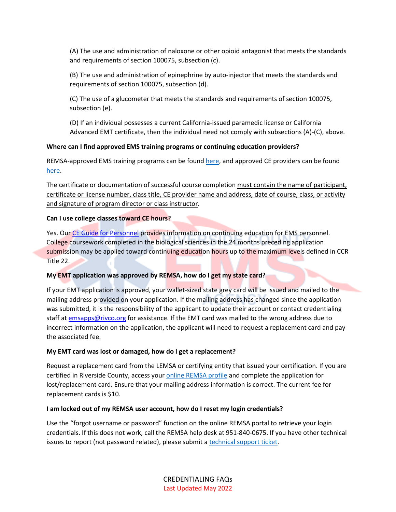(A) The use and administration of naloxone or other opioid antagonist that meets the standards and requirements of section 100075, subsection (c).

(B) The use and administration of epinephrine by auto-injector that meets the standards and requirements of section 100075, subsection (d).

(C) The use of a glucometer that meets the standards and requirements of section 100075, subsection (e).

(D) If an individual possesses a current California-issued paramedic license or California Advanced EMT certificate, then the individual need not comply with subsections (A)-(C), above.

# **Where can I find approved EMS training programs or continuing education providers?**

REMSA-approved EMS training programs can be found [here,](http://remsa.us/policy/8101.pdf#page=1&view=FitV) and approved CE providers can be found [here.](http://www2.emsa.ca.gov/ShowTraining/ContinuingEducation/GroupByContinuingEducationTable.aspx)

The certificate or documentation of successful course completion must contain the name of participant, certificate or license number, class title, CE provider name and address, date of course, class, or activity and signature of program director or class instructor.

## **Can I use college classes toward CE hours?**

Yes. Our [CE Guide for Personnel](http://remsa.us/policy/REMSACEGuideforPersonnel.pdf) provides information on continuing education for EMS personnel. College coursework completed in the biological sciences in the 24 months preceding application submission may be applied toward continuing education hours up to the maximum levels defined in CCR Title 22.

# **My EMT application was approved by REMSA, how do I get my state card?**

If your EMT application is approved, your wallet-sized state grey card will be issued and mailed to the mailing address provided on your application. If the mailing address has changed since the application was submitted, it is the responsibility of the applicant to update their account or contact credentialing staff at [emsapps@rivco.org](mailto:emsapps@rivco.org) for assistance. If the EMT card was mailed to the wrong address due to incorrect information on the application, the applicant will need to request a replacement card and pay the associated fee.

#### **My EMT card was lost or damaged, how do I get a replacement?**

Request a replacement card from the LEMSA or certifying entity that issued your certification. If you are certified in Riverside County, access your [online REMSA profile](https://ca.emsbridge.com/remsa/public/portal#/login) and complete the application for lost/replacement card. Ensure that your mailing address information is correct. The current fee for replacement cards is \$10.

#### **I am locked out of my REMSA user account, how do I reset my login credentials?**

Use the "forgot username or password" function on the online REMSA portal to retrieve your login credentials. If this does not work, call the REMSA help desk at 951-840-0675. If you have other technical issues to report (not password related), please submit a technical [support ticket.](https://remsa.freshdesk.com/support/home)